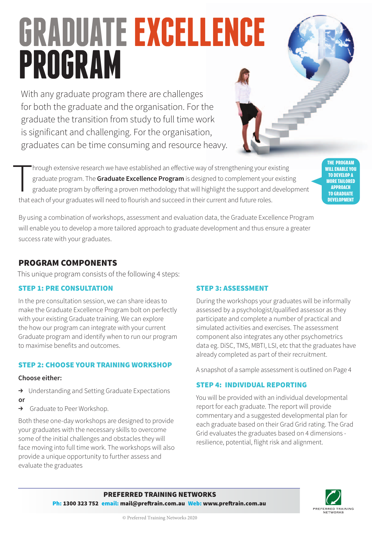# **GRADUATE EXCELLENCE PROGRAM**

With any graduate program there are challenges for both the graduate and the organisation. For the graduate the transition from study to full time work is significant and challenging. For the organisation, graduates can be time consuming and resource heavy.

 $\begin{array}{c}\n\hline\n\end{array}$ hrough extensive research we have established an effective way of strengthening your existing graduate program. The **Graduate Excellence Program** is designed to complement your existing graduate program by offering a proven methodology that will highlight the support and development that each of your graduates will need to flourish and succeed in their current and future roles.

By using a combination of workshops, assessment and evaluation data, the Graduate Excellence Program will enable you to develop a more tailored approach to graduate development and thus ensure a greater success rate with your graduates.

# PROGRAM COMPONENTS

This unique program consists of the following 4 steps:

#### STEP 1: PRE CONSULTATION

In the pre consultation session, we can share ideas to make the Graduate Excellence Program bolt on perfectly with your existing Graduate training. We can explore the how our program can integrate with your current Graduate program and identify when to run our program to maximise benefits and outcomes.

#### STEP 2: CHOOSE YOUR TRAINING WORKSHOP

#### **Choose either:**

- $\rightarrow$  Understanding and Setting Graduate Expectations
- **or**
- $\rightarrow$  Graduate to Peer Workshop.

Both these one-day workshops are designed to provide your graduates with the necessary skills to overcome some of the initial challenges and obstacles they will face moving into full time work. The workshops will also provide a unique opportunity to further assess and evaluate the graduates

### STEP 3: ASSESSMENT

During the workshops your graduates will be informally assessed by a psychologist/qualified assessor as they participate and complete a number of practical and simulated activities and exercises. The assessment component also integrates any other psychometrics data eg. DiSC, TMS, MBTI, LSI, etc that the graduates have already completed as part of their recruitment.

A snapshot of a sample assessment is outlined on Page 4

### STEP 4: INDIVIDUAL REPORTING

You will be provided with an individual developmental report for each graduate. The report will provide commentary and a suggested developmental plan for each graduate based on their Grad Grid rating. The Grad Grid evaluates the graduates based on 4 dimensions resilience, potential, flight risk and alignment.



the Program will enable you to develop a more tailored approach to graduate development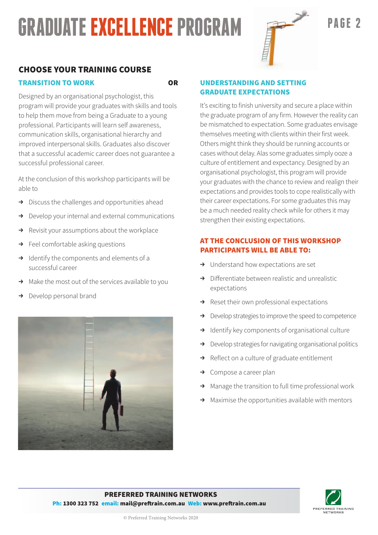# *BRADUATE EXCELLENCE PROGRAM*



## CHOOSE YOUR TRAINING COURSE

#### TRANSITION TO WORK OR

Designed by an organisational psychologist, this program will provide your graduates with skills and tools to help them move from being a Graduate to a young professional. Participants will learn self awareness, communication skills, organisational hierarchy and improved interpersonal skills. Graduates also discover that a successful academic career does not guarantee a successful professional career.

At the conclusion of this workshop participants will be able to

- $\rightarrow$  Discuss the challenges and opportunities ahead
- $\rightarrow$  Develop your internal and external communications
- $\rightarrow$  Revisit your assumptions about the workplace
- $\rightarrow$  Feel comfortable asking questions
- $\rightarrow$  Identify the components and elements of a successful career
- $\rightarrow$  Make the most out of the services available to you
- Develop personal brand



#### UNDERSTANDING AND SETTING GRADUATE EXPECTATIONS

It's exciting to finish university and secure a place within the graduate program of any firm. However the reality can be mismatched to expectation. Some graduates envisage themselves meeting with clients within their first week. Others might think they should be running accounts or cases without delay. Alas some graduates simply ooze a culture of entitlement and expectancy. Designed by an organisational psychologist, this program will provide your graduates with the chance to review and realign their expectations and provides tools to cope realistically with their career expectations. For some graduates this may be a much needed reality check while for others it may strengthen their existing expectations.

#### AT THE CONCLUSION OF THIS WORKSHOP PARTICIPANTS WILL BE ABLE TO:

- $\rightarrow$  Understand how expectations are set
- $\rightarrow$  Differentiate between realistic and unrealistic expectations
- $\rightarrow$  Reset their own professional expectations
- $\rightarrow$  Develop strategies to improve the speed to competence
- $\rightarrow$  Identify key components of organisational culture
- Develop strategies for navigating organisational politics
- Reflect on a culture of graduate entitlement
- $\rightarrow$  Compose a career plan
- $\rightarrow$  Manage the transition to full time professional work
- $\rightarrow$  Maximise the opportunities available with mentors

#### PREFERRED TRAINING NETWORKS Ph: 1300 323 752 email: mail@preftrain.com.au Web: www.preftrain.com.au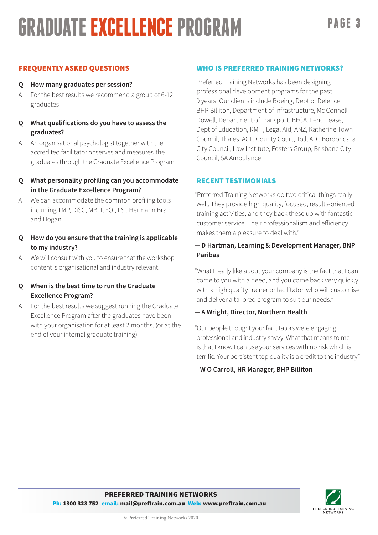# *BRADUATE EXCELLENCE PROGRAM* PAGE 3

#### FREQUENTLY ASKED QUESTIONS

#### **Q How many graduates per session?**

- A For the best results we recommend a group of 6-12 graduates
- **Q What qualifications do you have to assess the graduates?**
- A An organisational psychologist together with the accredited facilitator observes and measures the graduates through the Graduate Excellence Program

#### **Q What personality profiling can you accommodate in the Graduate Excellence Program?**

- A We can accommodate the common profiling tools including TMP, DiSC, MBTI, EQI, LSI, Hermann Brain and Hogan
- **Q How do you ensure that the training is applicable to my industry?**
- A We will consult with you to ensure that the workshop content is organisational and industry relevant.

#### **Q When is the best time to run the Graduate Excellence Program?**

A For the best results we suggest running the Graduate Excellence Program after the graduates have been with your organisation for at least 2 months. (or at the end of your internal graduate training)

#### WHO IS PREFERRED TRAINING NETWORKS?

Preferred Training Networks has been designing professional development programs for the past 9 years. Our clients include Boeing, Dept of Defence, BHP Billiton, Department of Infrastructure, Mc Connell Dowell, Department of Transport, BECA, Lend Lease, Dept of Education, RMIT, Legal Aid, ANZ, Katherine Town Council, Thales, AGL, County Court, Toll, ADI, Boroondara City Council, Law Institute, Fosters Group, Brisbane City Council, SA Ambulance.

#### RECENT TESTIMONIALS

"Preferred Training Networks do two critical things really well. They provide high quality, focused, results-oriented training activities, and they back these up with fantastic customer service. Their professionalism and efficiency makes them a pleasure to deal with."

#### **— D Hartman, Learning & Development Manager, BNP Paribas**

"What I really like about your company is the fact that I can come to you with a need, and you come back very quickly with a high quality trainer or facilitator, who will customise and deliver a tailored program to suit our needs."

#### **— A Wright, Director, Northern Health**

"Our people thought your facilitators were engaging, professional and industry savvy. What that means to me is that I know I can use your services with no risk which is terrific. Your persistent top quality is a credit to the industry"

#### **—W O Carroll, HR Manager, BHP Billiton**